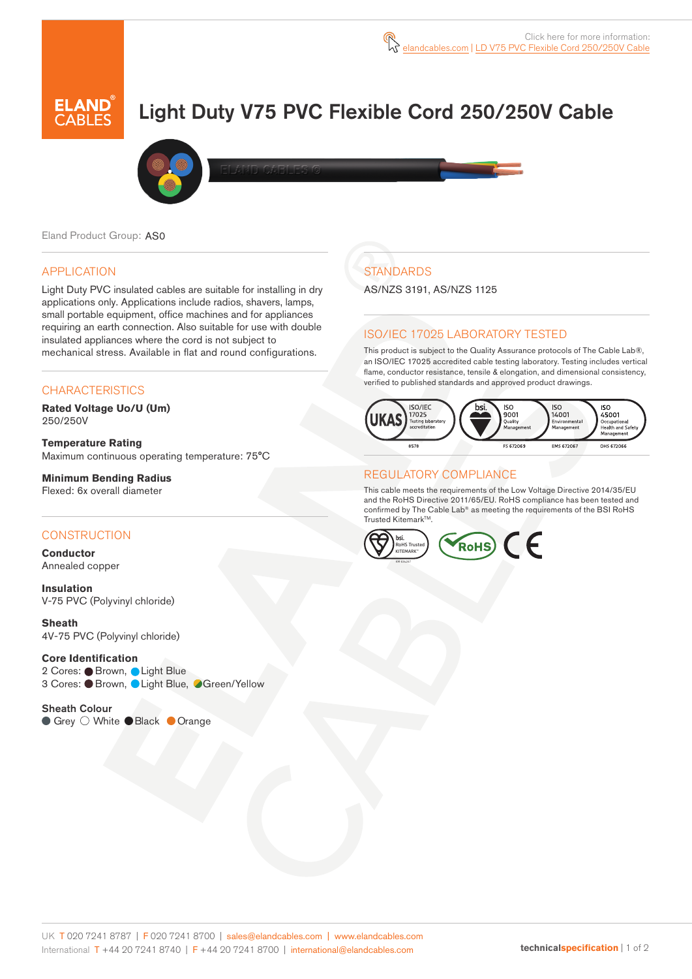

# Light Duty V75 PVC Flexible Cord 250/250V Cable



Eland Product Group: AS0

#### APPLICATION

Light Duty PVC insulated cables are suitable for installing in dry applications only. Applications include radios, shavers, lamps, small portable equipment, office machines and for appliances requiring an earth connection. Also suitable for use with double insulated appliances where the cord is not subject to mechanical stress. Available in flat and round configurations.

#### **CHARACTERISTICS**

**Rated Voltage Uo/U (Um)**  250/250V

**Temperature Rating**  Maximum continuous operating temperature: 75°C

**Minimum Bending Radius**  Flexed: 6x overall diameter

#### **CONSTRUCTION**

**Conductor** Annealed copper

**Insulation** V-75 PVC (Polyvinyl chloride)

**Sheath** 4V-75 PVC (Polyvinyl chloride)

#### **Core Identification**

2 Cores: Brown, Light Blue 3 Cores: ● Brown, ● Light Blue, ● Green/Yellow

Sheath Colour ● Grey O White ● Black ● Orange

# **STANDARDS**

AS/NZS 3191, AS/NZS 1125

#### ISO/IEC 17025 LABORATORY TESTED

This product is subject to the Quality Assurance protocols of The Cable Lab®, an ISO/IEC 17025 accredited cable testing laboratory. Testing includes vertical flame, conductor resistance, tensile & elongation, and dimensional consistency, verified to published standards and approved product drawings.



#### REGULATORY COMPLIANCE

This cable meets the requirements of the Low Voltage Directive 2014/35/EU and the RoHS Directive 2011/65/EU. RoHS compliance has been tested and confirmed by The Cable Lab® as meeting the requirements of the BSI RoHS Trusted Kitemark™